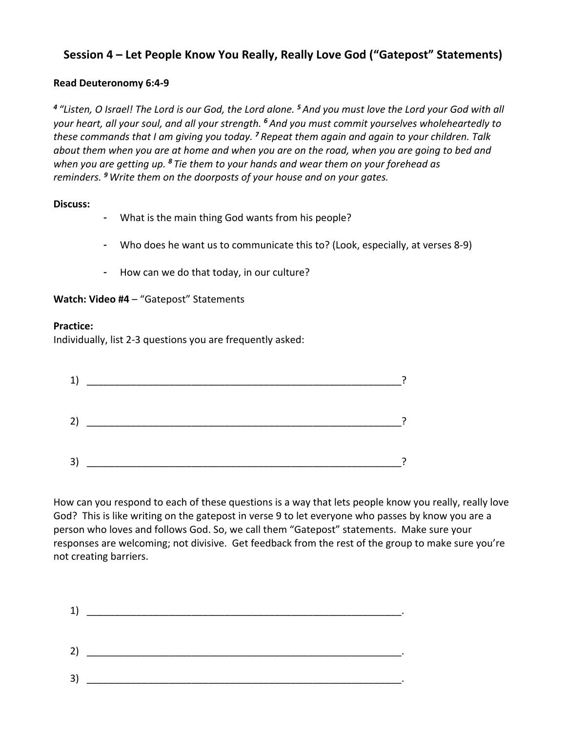# **Session 4 – Let People Know You Really, Really Love God ("Gatepost" Statements)**

## **Read Deuteronomy 6:4-9**

*<sup>4</sup> "Listen, O Israel! The Lord is our God, the Lord alone. <sup>5</sup> And you must love the Lord your God with all your heart, all your soul, and all your strength. <sup>6</sup> And you must commit yourselves wholeheartedly to these commands that I am giving you today. <sup>7</sup> Repeat them again and again to your children. Talk about them when you are at home and when you are on the road, when you are going to bed and when you are getting up. <sup>8</sup> Tie them to your hands and wear them on your forehead as reminders. <sup>9</sup> Write them on the doorposts of your house and on your gates.*

## **Discuss:**

- What is the main thing God wants from his people?
- Who does he want us to communicate this to? (Look, especially, at verses 8-9)
- How can we do that today, in our culture?

## **Watch: Video #4** – "Gatepost" Statements

### **Practice:**

Individually, list 2-3 questions you are frequently asked:



How can you respond to each of these questions is a way that lets people know you really, really love God? This is like writing on the gatepost in verse 9 to let everyone who passes by know you are a person who loves and follows God. So, we call them "Gatepost" statements. Make sure your responses are welcoming; not divisive. Get feedback from the rest of the group to make sure you're not creating barriers.

| 1) |  |
|----|--|
|    |  |
|    |  |
|    |  |
| 3) |  |